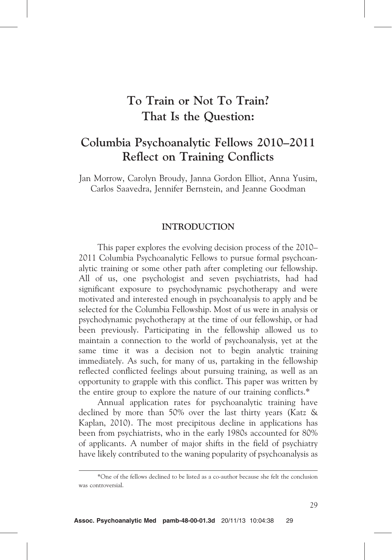# To Train or Not To Train? That Is the Question:

# Columbia Psychoanalytic Fellows 2010–2011 Reflect on Training Conflicts

Jan Morrow, Carolyn Broudy, Janna Gordon Elliot, Anna Yusim, Carlos Saavedra, Jennifer Bernstein, and Jeanne Goodman

# INTRODUCTION

This paper explores the evolving decision process of the 2010– 2011 Columbia Psychoanalytic Fellows to pursue formal psychoanalytic training or some other path after completing our fellowship. All of us, one psychologist and seven psychiatrists, had had significant exposure to psychodynamic psychotherapy and were motivated and interested enough in psychoanalysis to apply and be selected for the Columbia Fellowship. Most of us were in analysis or psychodynamic psychotherapy at the time of our fellowship, or had been previously. Participating in the fellowship allowed us to maintain a connection to the world of psychoanalysis, yet at the same time it was a decision not to begin analytic training immediately. As such, for many of us, partaking in the fellowship reflected conflicted feelings about pursuing training, as well as an opportunity to grapple with this conflict. This paper was written by the entire group to explore the nature of our training conflicts.\*

Annual application rates for psychoanalytic training have declined by more than 50% over the last thirty years (Katz & Kaplan, 2010). The most precipitous decline in applications has been from psychiatrists, who in the early 1980s accounted for 80% of applicants. A number of major shifts in the field of psychiatry have likely contributed to the waning popularity of psychoanalysis as

<sup>\*</sup>One of the fellows declined to be listed as a co-author because she felt the conclusion was controversial.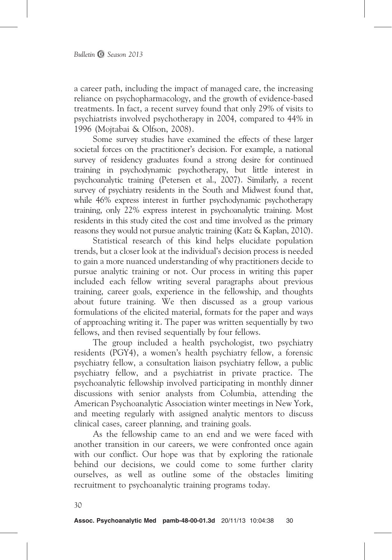a career path, including the impact of managed care, the increasing reliance on psychopharmacology, and the growth of evidence-based treatments. In fact, a recent survey found that only 29% of visits to psychiatrists involved psychotherapy in 2004, compared to 44% in 1996 (Mojtabai & Olfson, 2008).

Some survey studies have examined the effects of these larger societal forces on the practitioner's decision. For example, a national survey of residency graduates found a strong desire for continued training in psychodynamic psychotherapy, but little interest in psychoanalytic training (Petersen et al., 2007). Similarly, a recent survey of psychiatry residents in the South and Midwest found that, while 46% express interest in further psychodynamic psychotherapy training, only 22% express interest in psychoanalytic training. Most residents in this study cited the cost and time involved as the primary reasons they would not pursue analytic training (Katz & Kaplan, 2010).

Statistical research of this kind helps elucidate population trends, but a closer look at the individual's decision process is needed to gain a more nuanced understanding of why practitioners decide to pursue analytic training or not. Our process in writing this paper included each fellow writing several paragraphs about previous training, career goals, experience in the fellowship, and thoughts about future training. We then discussed as a group various formulations of the elicited material, formats for the paper and ways of approaching writing it. The paper was written sequentially by two fellows, and then revised sequentially by four fellows.

The group included a health psychologist, two psychiatry residents (PGY4), a women's health psychiatry fellow, a forensic psychiatry fellow, a consultation liaison psychiatry fellow, a public psychiatry fellow, and a psychiatrist in private practice. The psychoanalytic fellowship involved participating in monthly dinner discussions with senior analysts from Columbia, attending the American Psychoanalytic Association winter meetings in New York, and meeting regularly with assigned analytic mentors to discuss clinical cases, career planning, and training goals.

As the fellowship came to an end and we were faced with another transition in our careers, we were confronted once again with our conflict. Our hope was that by exploring the rationale behind our decisions, we could come to some further clarity ourselves, as well as outline some of the obstacles limiting recruitment to psychoanalytic training programs today.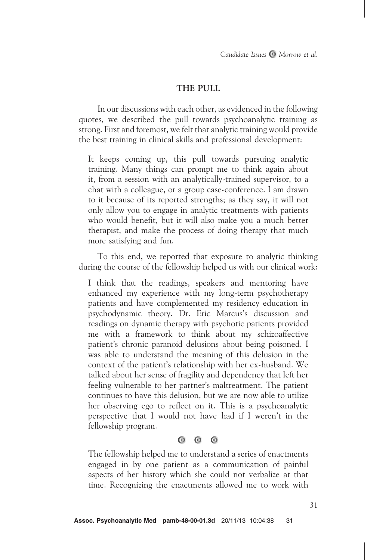# THE PULL

In our discussions with each other, as evidenced in the following quotes, we described the pull towards psychoanalytic training as strong. First and foremost, we felt that analytic training would provide the best training in clinical skills and professional development:

It keeps coming up, this pull towards pursuing analytic training. Many things can prompt me to think again about it, from a session with an analytically-trained supervisor, to a chat with a colleague, or a group case-conference. I am drawn to it because of its reported strengths; as they say, it will not only allow you to engage in analytic treatments with patients who would benefit, but it will also make you a much better therapist, and make the process of doing therapy that much more satisfying and fun.

To this end, we reported that exposure to analytic thinking during the course of the fellowship helped us with our clinical work:

I think that the readings, speakers and mentoring have enhanced my experience with my long-term psychotherapy patients and have complemented my residency education in psychodynamic theory. Dr. Eric Marcus's discussion and readings on dynamic therapy with psychotic patients provided me with a framework to think about my schizoaffective patient's chronic paranoid delusions about being poisoned. I was able to understand the meaning of this delusion in the context of the patient's relationship with her ex-husband. We talked about her sense of fragility and dependency that left her feeling vulnerable to her partner's maltreatment. The patient continues to have this delusion, but we are now able to utilize her observing ego to reflect on it. This is a psychoanalytic perspective that I would not have had if I weren't in the fellowship program.

#### $\odot$  $\bullet$  $\odot$

The fellowship helped me to understand a series of enactments engaged in by one patient as a communication of painful aspects of her history which she could not verbalize at that time. Recognizing the enactments allowed me to work with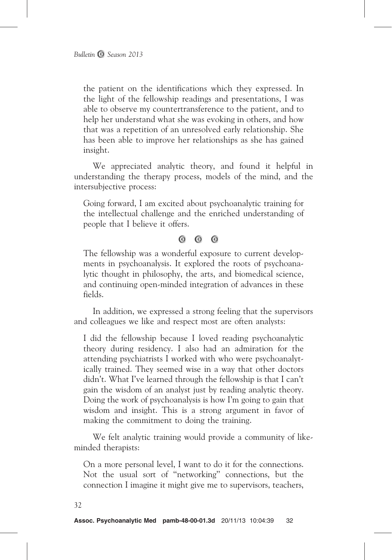the patient on the identifications which they expressed. In the light of the fellowship readings and presentations, I was able to observe my countertransference to the patient, and to help her understand what she was evoking in others, and how that was a repetition of an unresolved early relationship. She has been able to improve her relationships as she has gained insight.

We appreciated analytic theory, and found it helpful in understanding the therapy process, models of the mind, and the intersubjective process:

Going forward, I am excited about psychoanalytic training for the intellectual challenge and the enriched understanding of people that I believe it offers.

> $\odot$  $\circ$   $\circ$

The fellowship was a wonderful exposure to current developments in psychoanalysis. It explored the roots of psychoanalytic thought in philosophy, the arts, and biomedical science, and continuing open-minded integration of advances in these fields.

In addition, we expressed a strong feeling that the supervisors and colleagues we like and respect most are often analysts:

I did the fellowship because I loved reading psychoanalytic theory during residency. I also had an admiration for the attending psychiatrists I worked with who were psychoanalytically trained. They seemed wise in a way that other doctors didn't. What I've learned through the fellowship is that I can't gain the wisdom of an analyst just by reading analytic theory. Doing the work of psychoanalysis is how I'm going to gain that wisdom and insight. This is a strong argument in favor of making the commitment to doing the training.

We felt analytic training would provide a community of likeminded therapists:

On a more personal level, I want to do it for the connections. Not the usual sort of ''networking'' connections, but the connection I imagine it might give me to supervisors, teachers,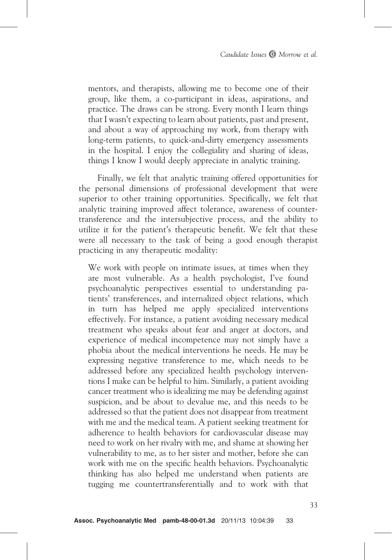mentors, and therapists, allowing me to become one of their group, like them, a co-participant in ideas, aspirations, and practice. The draws can be strong. Every month I learn things that I wasn't expecting to learn about patients, past and present, and about a way of approaching my work, from therapy with long-term patients, to quick-and-dirty emergency assessments in the hospital. I enjoy the collegiality and sharing of ideas, things I know I would deeply appreciate in analytic training.

Finally, we felt that analytic training offered opportunities for the personal dimensions of professional development that were superior to other training opportunities. Specifically, we felt that analytic training improved affect tolerance, awareness of countertransference and the intersubjective process, and the ability to utilize it for the patient's therapeutic benefit. We felt that these were all necessary to the task of being a good enough therapist practicing in any therapeutic modality:

We work with people on intimate issues, at times when they are most vulnerable. As a health psychologist, I've found psychoanalytic perspectives essential to understanding patients' transferences, and internalized object relations, which in turn has helped me apply specialized interventions effectively. For instance, a patient avoiding necessary medical treatment who speaks about fear and anger at doctors, and experience of medical incompetence may not simply have a phobia about the medical interventions he needs. He may be expressing negative transference to me, which needs to be addressed before any specialized health psychology interventions I make can be helpful to him. Similarly, a patient avoiding cancer treatment who is idealizing me may be defending against suspicion, and be about to devalue me, and this needs to be addressed so that the patient does not disappear from treatment with me and the medical team. A patient seeking treatment for adherence to health behaviors for cardiovascular disease may need to work on her rivalry with me, and shame at showing her vulnerability to me, as to her sister and mother, before she can work with me on the specific health behaviors. Psychoanalytic thinking has also helped me understand when patients are tugging me countertransferentially and to work with that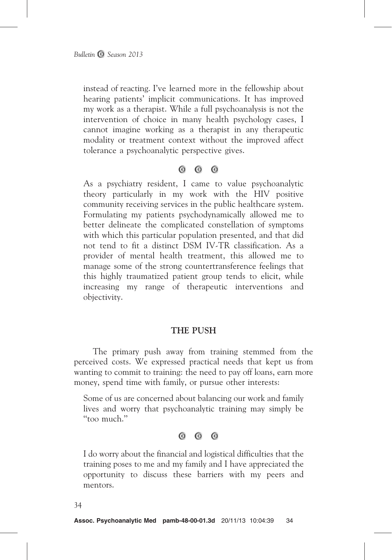instead of reacting. I've learned more in the fellowship about hearing patients' implicit communications. It has improved my work as a therapist. While a full psychoanalysis is not the intervention of choice in many health psychology cases, I cannot imagine working as a therapist in any therapeutic modality or treatment context without the improved affect tolerance a psychoanalytic perspective gives.

> $\odot$  $\odot$   $\odot$

As a psychiatry resident, I came to value psychoanalytic theory particularly in my work with the HIV positive community receiving services in the public healthcare system. Formulating my patients psychodynamically allowed me to better delineate the complicated constellation of symptoms with which this particular population presented, and that did not tend to fit a distinct DSM IV-TR classification. As a provider of mental health treatment, this allowed me to manage some of the strong countertransference feelings that this highly traumatized patient group tends to elicit, while increasing my range of therapeutic interventions and objectivity.

## THE PUSH

The primary push away from training stemmed from the perceived costs. We expressed practical needs that kept us from wanting to commit to training: the need to pay off loans, earn more money, spend time with family, or pursue other interests:

Some of us are concerned about balancing our work and family lives and worry that psychoanalytic training may simply be ''too much.''

> $\odot$  $\circ$   $\circ$

I do worry about the financial and logistical difficulties that the training poses to me and my family and I have appreciated the opportunity to discuss these barriers with my peers and mentors.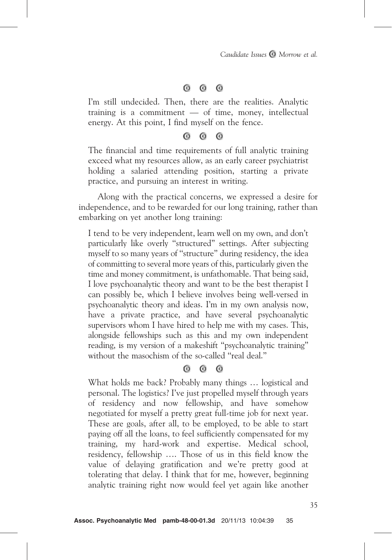#### $\bullet$  $\odot$  $\odot$

I'm still undecided. Then, there are the realities. Analytic training is a commitment — of time, money, intellectual energy. At this point, I find myself on the fence.

#### $\odot$  $\odot$  $\odot$

The financial and time requirements of full analytic training exceed what my resources allow, as an early career psychiatrist holding a salaried attending position, starting a private practice, and pursuing an interest in writing.

Along with the practical concerns, we expressed a desire for independence, and to be rewarded for our long training, rather than embarking on yet another long training:

I tend to be very independent, learn well on my own, and don't particularly like overly ''structured'' settings. After subjecting myself to so many years of ''structure'' during residency, the idea of committing to several more years of this, particularly given the time and money commitment, is unfathomable. That being said, I love psychoanalytic theory and want to be the best therapist I can possibly be, which I believe involves being well-versed in psychoanalytic theory and ideas. I'm in my own analysis now, have a private practice, and have several psychoanalytic supervisors whom I have hired to help me with my cases. This, alongside fellowships such as this and my own independent reading, is my version of a makeshift ''psychoanalytic training'' without the masochism of the so-called "real deal."

#### $\odot$  $\odot$  $\odot$

What holds me back? Probably many things … logistical and personal. The logistics? I've just propelled myself through years of residency and now fellowship, and have somehow negotiated for myself a pretty great full-time job for next year. These are goals, after all, to be employed, to be able to start paying off all the loans, to feel sufficiently compensated for my training, my hard-work and expertise. Medical school, residency, fellowship …. Those of us in this field know the value of delaying gratification and we're pretty good at tolerating that delay. I think that for me, however, beginning analytic training right now would feel yet again like another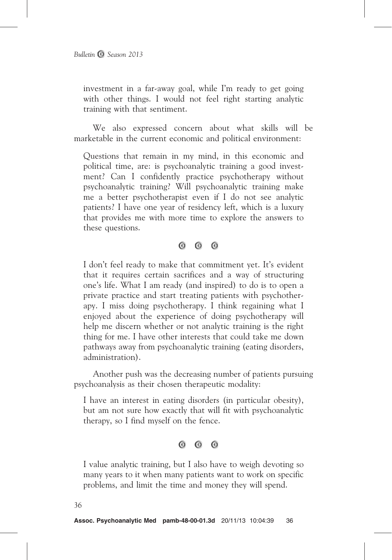investment in a far-away goal, while I'm ready to get going with other things. I would not feel right starting analytic training with that sentiment.

We also expressed concern about what skills will be marketable in the current economic and political environment:

Questions that remain in my mind, in this economic and political time, are: is psychoanalytic training a good investment? Can I confidently practice psychotherapy without psychoanalytic training? Will psychoanalytic training make me a better psychotherapist even if I do not see analytic patients? I have one year of residency left, which is a luxury that provides me with more time to explore the answers to these questions.

 $\circ$   $\circ$   $\circ$ 

I don't feel ready to make that commitment yet. It's evident that it requires certain sacrifices and a way of structuring one's life. What I am ready (and inspired) to do is to open a private practice and start treating patients with psychotherapy. I miss doing psychotherapy. I think regaining what I enjoyed about the experience of doing psychotherapy will help me discern whether or not analytic training is the right thing for me. I have other interests that could take me down pathways away from psychoanalytic training (eating disorders, administration).

Another push was the decreasing number of patients pursuing psychoanalysis as their chosen therapeutic modality:

I have an interest in eating disorders (in particular obesity), but am not sure how exactly that will fit with psychoanalytic therapy, so I find myself on the fence.

> $\odot$   $\odot$  $\odot$

I value analytic training, but I also have to weigh devoting so many years to it when many patients want to work on specific problems, and limit the time and money they will spend.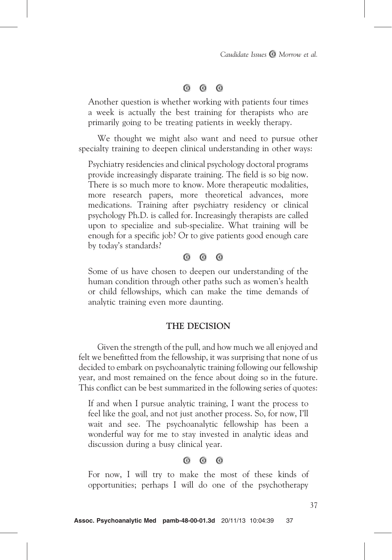#### $\odot$  $\odot$  $\odot$

Another question is whether working with patients four times a week is actually the best training for therapists who are primarily going to be treating patients in weekly therapy.

We thought we might also want and need to pursue other specialty training to deepen clinical understanding in other ways:

Psychiatry residencies and clinical psychology doctoral programs provide increasingly disparate training. The field is so big now. There is so much more to know. More therapeutic modalities, more research papers, more theoretical advances, more medications. Training after psychiatry residency or clinical psychology Ph.D. is called for. Increasingly therapists are called upon to specialize and sub-specialize. What training will be enough for a specific job? Or to give patients good enough care by today's standards?

#### $\circ$  $\odot$  $\odot$

Some of us have chosen to deepen our understanding of the human condition through other paths such as women's health or child fellowships, which can make the time demands of analytic training even more daunting.

## THE DECISION

Given the strength of the pull, and how much we all enjoyed and felt we benefitted from the fellowship, it was surprising that none of us decided to embark on psychoanalytic training following our fellowship year, and most remained on the fence about doing so in the future. This conflict can be best summarized in the following series of quotes:

If and when I pursue analytic training, I want the process to feel like the goal, and not just another process. So, for now, I'll wait and see. The psychoanalytic fellowship has been a wonderful way for me to stay invested in analytic ideas and discussion during a busy clinical year.

#### $\odot$  $\bullet$  $\odot$

For now, I will try to make the most of these kinds of opportunities; perhaps I will do one of the psychotherapy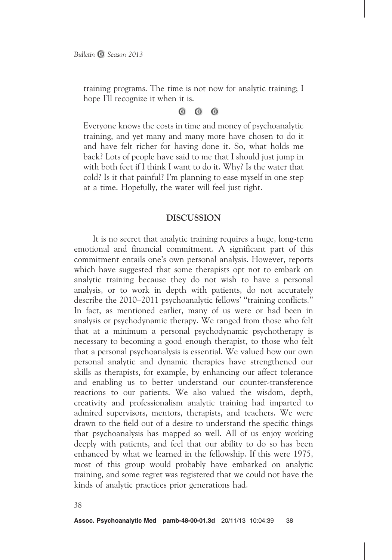training programs. The time is not now for analytic training; I hope I'll recognize it when it is.

> $\odot$  $\odot$  $\odot$

Everyone knows the costs in time and money of psychoanalytic training, and yet many and many more have chosen to do it and have felt richer for having done it. So, what holds me back? Lots of people have said to me that I should just jump in with both feet if I think I want to do it. Why? Is the water that cold? Is it that painful? I'm planning to ease myself in one step at a time. Hopefully, the water will feel just right.

## DISCUSSION

It is no secret that analytic training requires a huge, long-term emotional and financial commitment. A significant part of this commitment entails one's own personal analysis. However, reports which have suggested that some therapists opt not to embark on analytic training because they do not wish to have a personal analysis, or to work in depth with patients, do not accurately describe the 2010–2011 psychoanalytic fellows' ''training conflicts.'' In fact, as mentioned earlier, many of us were or had been in analysis or psychodynamic therapy. We ranged from those who felt that at a minimum a personal psychodynamic psychotherapy is necessary to becoming a good enough therapist, to those who felt that a personal psychoanalysis is essential. We valued how our own personal analytic and dynamic therapies have strengthened our skills as therapists, for example, by enhancing our affect tolerance and enabling us to better understand our counter-transference reactions to our patients. We also valued the wisdom, depth, creativity and professionalism analytic training had imparted to admired supervisors, mentors, therapists, and teachers. We were drawn to the field out of a desire to understand the specific things that psychoanalysis has mapped so well. All of us enjoy working deeply with patients, and feel that our ability to do so has been enhanced by what we learned in the fellowship. If this were 1975, most of this group would probably have embarked on analytic training, and some regret was registered that we could not have the kinds of analytic practices prior generations had.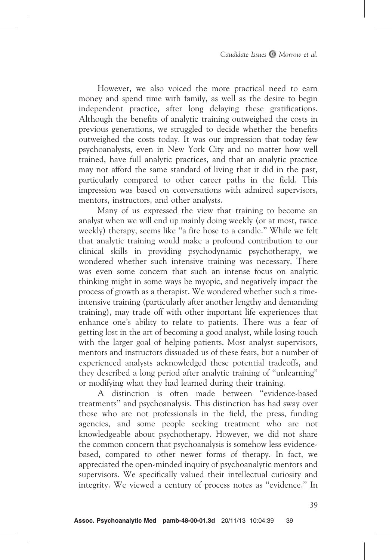However, we also voiced the more practical need to earn money and spend time with family, as well as the desire to begin independent practice, after long delaying these gratifications. Although the benefits of analytic training outweighed the costs in previous generations, we struggled to decide whether the benefits outweighed the costs today. It was our impression that today few psychoanalysts, even in New York City and no matter how well trained, have full analytic practices, and that an analytic practice may not afford the same standard of living that it did in the past, particularly compared to other career paths in the field. This impression was based on conversations with admired supervisors, mentors, instructors, and other analysts.

Many of us expressed the view that training to become an analyst when we will end up mainly doing weekly (or at most, twice weekly) therapy, seems like ''a fire hose to a candle.'' While we felt that analytic training would make a profound contribution to our clinical skills in providing psychodynamic psychotherapy, we wondered whether such intensive training was necessary. There was even some concern that such an intense focus on analytic thinking might in some ways be myopic, and negatively impact the process of growth as a therapist. We wondered whether such a timeintensive training (particularly after another lengthy and demanding training), may trade off with other important life experiences that enhance one's ability to relate to patients. There was a fear of getting lost in the art of becoming a good analyst, while losing touch with the larger goal of helping patients. Most analyst supervisors, mentors and instructors dissuaded us of these fears, but a number of experienced analysts acknowledged these potential tradeoffs, and they described a long period after analytic training of ''unlearning'' or modifying what they had learned during their training.

A distinction is often made between ''evidence-based treatments'' and psychoanalysis. This distinction has had sway over those who are not professionals in the field, the press, funding agencies, and some people seeking treatment who are not knowledgeable about psychotherapy. However, we did not share the common concern that psychoanalysis is somehow less evidencebased, compared to other newer forms of therapy. In fact, we appreciated the open-minded inquiry of psychoanalytic mentors and supervisors. We specifically valued their intellectual curiosity and integrity. We viewed a century of process notes as ''evidence.'' In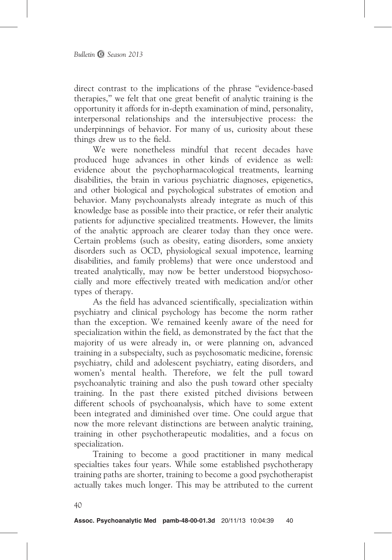direct contrast to the implications of the phrase ''evidence-based therapies,'' we felt that one great benefit of analytic training is the opportunity it affords for in-depth examination of mind, personality, interpersonal relationships and the intersubjective process: the underpinnings of behavior. For many of us, curiosity about these things drew us to the field.

We were nonetheless mindful that recent decades have produced huge advances in other kinds of evidence as well: evidence about the psychopharmacological treatments, learning disabilities, the brain in various psychiatric diagnoses, epigenetics, and other biological and psychological substrates of emotion and behavior. Many psychoanalysts already integrate as much of this knowledge base as possible into their practice, or refer their analytic patients for adjunctive specialized treatments. However, the limits of the analytic approach are clearer today than they once were. Certain problems (such as obesity, eating disorders, some anxiety disorders such as OCD, physiological sexual impotence, learning disabilities, and family problems) that were once understood and treated analytically, may now be better understood biopsychosocially and more effectively treated with medication and/or other types of therapy.

As the field has advanced scientifically, specialization within psychiatry and clinical psychology has become the norm rather than the exception. We remained keenly aware of the need for specialization within the field, as demonstrated by the fact that the majority of us were already in, or were planning on, advanced training in a subspecialty, such as psychosomatic medicine, forensic psychiatry, child and adolescent psychiatry, eating disorders, and women's mental health. Therefore, we felt the pull toward psychoanalytic training and also the push toward other specialty training. In the past there existed pitched divisions between different schools of psychoanalysis, which have to some extent been integrated and diminished over time. One could argue that now the more relevant distinctions are between analytic training, training in other psychotherapeutic modalities, and a focus on specialization.

Training to become a good practitioner in many medical specialties takes four years. While some established psychotherapy training paths are shorter, training to become a good psychotherapist actually takes much longer. This may be attributed to the current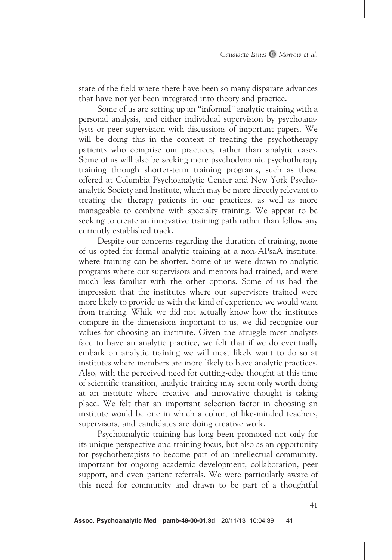state of the field where there have been so many disparate advances that have not yet been integrated into theory and practice.

Some of us are setting up an ''informal'' analytic training with a personal analysis, and either individual supervision by psychoanalysts or peer supervision with discussions of important papers. We will be doing this in the context of treating the psychotherapy patients who comprise our practices, rather than analytic cases. Some of us will also be seeking more psychodynamic psychotherapy training through shorter-term training programs, such as those offered at Columbia Psychoanalytic Center and New York Psychoanalytic Society and Institute, which may be more directly relevant to treating the therapy patients in our practices, as well as more manageable to combine with specialty training. We appear to be seeking to create an innovative training path rather than follow any currently established track.

Despite our concerns regarding the duration of training, none of us opted for formal analytic training at a non-APsaA institute, where training can be shorter. Some of us were drawn to analytic programs where our supervisors and mentors had trained, and were much less familiar with the other options. Some of us had the impression that the institutes where our supervisors trained were more likely to provide us with the kind of experience we would want from training. While we did not actually know how the institutes compare in the dimensions important to us, we did recognize our values for choosing an institute. Given the struggle most analysts face to have an analytic practice, we felt that if we do eventually embark on analytic training we will most likely want to do so at institutes where members are more likely to have analytic practices. Also, with the perceived need for cutting-edge thought at this time of scientific transition, analytic training may seem only worth doing at an institute where creative and innovative thought is taking place. We felt that an important selection factor in choosing an institute would be one in which a cohort of like-minded teachers, supervisors, and candidates are doing creative work.

Psychoanalytic training has long been promoted not only for its unique perspective and training focus, but also as an opportunity for psychotherapists to become part of an intellectual community, important for ongoing academic development, collaboration, peer support, and even patient referrals. We were particularly aware of this need for community and drawn to be part of a thoughtful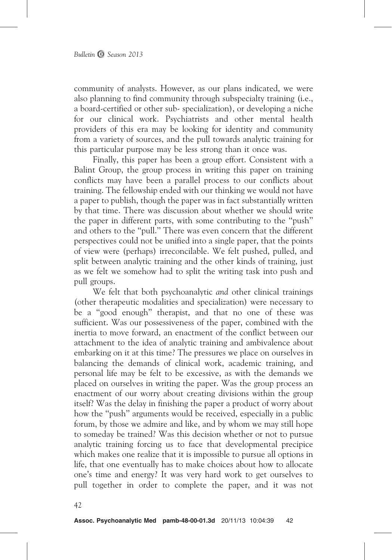community of analysts. However, as our plans indicated, we were also planning to find community through subspecialty training (i.e., a board-certified or other sub- specialization), or developing a niche for our clinical work. Psychiatrists and other mental health providers of this era may be looking for identity and community from a variety of sources, and the pull towards analytic training for this particular purpose may be less strong than it once was.

Finally, this paper has been a group effort. Consistent with a Balint Group, the group process in writing this paper on training conflicts may have been a parallel process to our conflicts about training. The fellowship ended with our thinking we would not have a paper to publish, though the paper was in fact substantially written by that time. There was discussion about whether we should write the paper in different parts, with some contributing to the ''push'' and others to the ''pull.'' There was even concern that the different perspectives could not be unified into a single paper, that the points of view were (perhaps) irreconcilable. We felt pushed, pulled, and split between analytic training and the other kinds of training, just as we felt we somehow had to split the writing task into push and pull groups.

We felt that both psychoanalytic *and* other clinical trainings (other therapeutic modalities and specialization) were necessary to be a ''good enough'' therapist, and that no one of these was sufficient. Was our possessiveness of the paper, combined with the inertia to move forward, an enactment of the conflict between our attachment to the idea of analytic training and ambivalence about embarking on it at this time? The pressures we place on ourselves in balancing the demands of clinical work, academic training, and personal life may be felt to be excessive, as with the demands we placed on ourselves in writing the paper. Was the group process an enactment of our worry about creating divisions within the group itself? Was the delay in finishing the paper a product of worry about how the ''push'' arguments would be received, especially in a public forum, by those we admire and like, and by whom we may still hope to someday be trained? Was this decision whether or not to pursue analytic training forcing us to face that developmental precipice which makes one realize that it is impossible to pursue all options in life, that one eventually has to make choices about how to allocate one's time and energy? It was very hard work to get ourselves to pull together in order to complete the paper, and it was not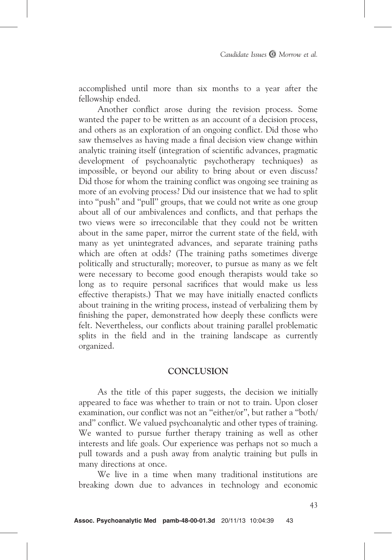accomplished until more than six months to a year after the fellowship ended.

Another conflict arose during the revision process. Some wanted the paper to be written as an account of a decision process, and others as an exploration of an ongoing conflict. Did those who saw themselves as having made a final decision view change within analytic training itself (integration of scientific advances, pragmatic development of psychoanalytic psychotherapy techniques) as impossible, or beyond our ability to bring about or even discuss? Did those for whom the training conflict was ongoing see training as more of an evolving process? Did our insistence that we had to split into ''push'' and ''pull'' groups, that we could not write as one group about all of our ambivalences and conflicts, and that perhaps the two views were so irreconcilable that they could not be written about in the same paper, mirror the current state of the field, with many as yet unintegrated advances, and separate training paths which are often at odds? (The training paths sometimes diverge politically and structurally; moreover, to pursue as many as we felt were necessary to become good enough therapists would take so long as to require personal sacrifices that would make us less effective therapists.) That we may have initially enacted conflicts about training in the writing process, instead of verbalizing them by finishing the paper, demonstrated how deeply these conflicts were felt. Nevertheless, our conflicts about training parallel problematic splits in the field and in the training landscape as currently organized.

# **CONCLUSION**

As the title of this paper suggests, the decision we initially appeared to face was whether to train or not to train. Upon closer examination, our conflict was not an ''either/or'', but rather a ''both/ and'' conflict. We valued psychoanalytic and other types of training. We wanted to pursue further therapy training as well as other interests and life goals. Our experience was perhaps not so much a pull towards and a push away from analytic training but pulls in many directions at once.

We live in a time when many traditional institutions are breaking down due to advances in technology and economic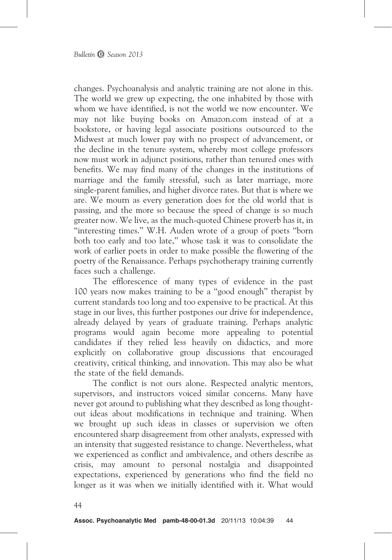changes. Psychoanalysis and analytic training are not alone in this. The world we grew up expecting, the one inhabited by those with whom we have identified, is not the world we now encounter. We may not like buying books on Amazon.com instead of at a bookstore, or having legal associate positions outsourced to the Midwest at much lower pay with no prospect of advancement, or the decline in the tenure system, whereby most college professors now must work in adjunct positions, rather than tenured ones with benefits. We may find many of the changes in the institutions of marriage and the family stressful, such as later marriage, more single-parent families, and higher divorce rates. But that is where we are. We mourn as every generation does for the old world that is passing, and the more so because the speed of change is so much greater now. We live, as the much-quoted Chinese proverb has it, in ''interesting times.'' W.H. Auden wrote of a group of poets ''born both too early and too late,'' whose task it was to consolidate the work of earlier poets in order to make possible the flowering of the poetry of the Renaissance. Perhaps psychotherapy training currently faces such a challenge.

The efflorescence of many types of evidence in the past 100 years now makes training to be a ''good enough'' therapist by current standards too long and too expensive to be practical. At this stage in our lives, this further postpones our drive for independence, already delayed by years of graduate training. Perhaps analytic programs would again become more appealing to potential candidates if they relied less heavily on didactics, and more explicitly on collaborative group discussions that encouraged creativity, critical thinking, and innovation. This may also be what the state of the field demands.

The conflict is not ours alone. Respected analytic mentors, supervisors, and instructors voiced similar concerns. Many have never got around to publishing what they described as long thoughtout ideas about modifications in technique and training. When we brought up such ideas in classes or supervision we often encountered sharp disagreement from other analysts, expressed with an intensity that suggested resistance to change. Nevertheless, what we experienced as conflict and ambivalence, and others describe as crisis, may amount to personal nostalgia and disappointed expectations, experienced by generations who find the field no longer as it was when we initially identified with it. What would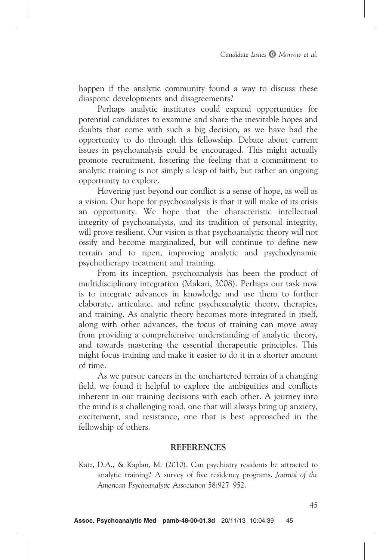happen if the analytic community found a way to discuss these diasporic developments and disagreements?

Perhaps analytic institutes could expand opportunities for potential candidates to examine and share the inevitable hopes and doubts that come with such a big decision, as we have had the opportunity to do through this fellowship. Debate about current issues in psychoanalysis could be encouraged. This might actually promote recruitment, fostering the feeling that a commitment to analytic training is not simply a leap of faith, but rather an ongoing opportunity to explore.

Hovering just beyond our conflict is a sense of hope, as well as a vision. Our hope for psychoanalysis is that it will make of its crisis an opportunity. We hope that the characteristic intellectual integrity of psychoanalysis, and its tradition of personal integrity, will prove resilient. Our vision is that psychoanalytic theory will not ossify and become marginalized, but will continue to define new terrain and to ripen, improving analytic and psychodynamic psychotherapy treatment and training.

From its inception, psychoanalysis has been the product of multidisciplinary integration (Makari, 2008). Perhaps our task now is to integrate advances in knowledge and use them to further elaborate, articulate, and refine psychoanalytic theory, therapies, and training. As analytic theory becomes more integrated in itself, along with other advances, the focus of training can move away from providing a comprehensive understanding of analytic theory, and towards mastering the essential therapeutic principles. This might focus training and make it easier to do it in a shorter amount of time.

As we pursue careers in the unchartered terrain of a changing field, we found it helpful to explore the ambiguities and conflicts inherent in our training decisions with each other. A journey into the mind is a challenging road, one that will always bring up anxiety, excitement, and resistance, one that is best approached in the fellowship of others.

## **REFERENCES**

Katz, D.A., & Kaplan, M. (2010). Can psychiatry residents be attracted to analytic training? A survey of five residency programs. Journal of the American Psychoanalytic Association 58:927–952.